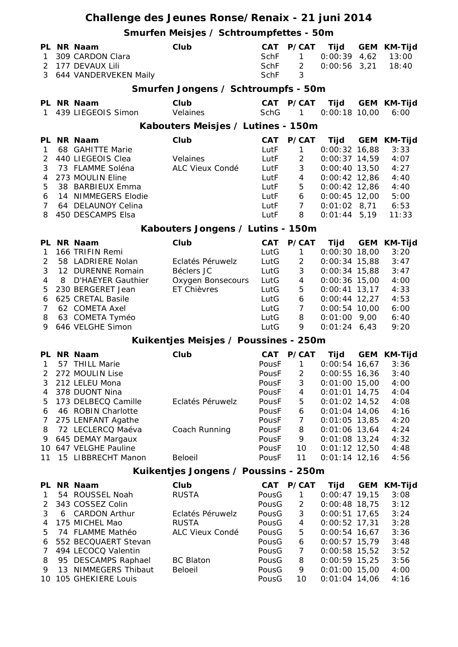|                                |   |                                                   | Challenge des Jeunes Ronse/Renaix - 21 juni 2014 |                            |                                         |                                          |                                      |
|--------------------------------|---|---------------------------------------------------|--------------------------------------------------|----------------------------|-----------------------------------------|------------------------------------------|--------------------------------------|
|                                |   |                                                   | Smurfen Meisjes / Schtroumpfettes - 50m          |                            |                                         |                                          |                                      |
| $\mathbf{1}$<br>$\overline{2}$ |   | PL NR Naam<br>309 CARDON Clara<br>177 DEVAUX Lili | Club                                             | CAT<br><b>SchF</b><br>SchF | P/CAT<br>$\mathbf{1}$<br>$\overline{2}$ | Tijd<br>$0:00:39$ 4,62<br>$0:00:56$ 3,21 | <b>GEM KM-Tijd</b><br>13:00<br>18:40 |
| 3                              |   | 644 VANDERVEKEN Maily                             |                                                  | <b>SchF</b>                | 3                                       |                                          |                                      |
|                                |   |                                                   | Smurfen Jongens / Schtroumpfs - 50m              |                            |                                         |                                          |                                      |
| 1                              |   | PL NR Naam<br>439 LIEGEOIS Simon                  | Club<br>Velaines                                 | <b>SchG</b>                | CAT P/CAT<br>1                          | <b>Tijd</b><br>$0:00:18$ 10,00           | GEM KM-Tijd<br>6:00                  |
|                                |   |                                                   | Kabouters Meisjes / Lutines - 150m               |                            |                                         |                                          |                                      |
|                                |   | PL NR Naam                                        | Club                                             | <b>CAT</b>                 | P/CAT                                   | Tijd                                     | GEM KM-Tijd                          |
| 1                              |   | 68 GAHITTE Marie                                  |                                                  | LutF                       | 1                                       | $0:00:32$ 16,88                          | 3:33                                 |
| 2                              |   | 440 LIEGEOIS Clea                                 | Velaines                                         | LutF                       | $\overline{2}$                          | $0:00:37$ 14,59                          | 4:07                                 |
| 3                              |   | 73 FLAMME Soléna                                  | ALC Vieux Condé                                  | LutF                       | 3                                       | $0:00:40$ 13,50                          | 4:27                                 |
| 4                              |   | 273 MOULIN Eline                                  |                                                  | LutF                       | $\overline{4}$                          | $0:00:42$ 12,86                          | 4:40                                 |
| 5                              |   | 38 BARBIEUX Emma                                  |                                                  | LutF                       | 5                                       | $0:00:42$ 12,86                          | 4:40                                 |
| 6                              |   | 14 NIMMEGERS Elodie                               |                                                  | LutF                       | 6                                       | $0:00:45$ 12,00                          | 5:00                                 |
| 7                              |   | 64 DELAUNOY Celina                                |                                                  | LutF                       | $\overline{7}$                          | $0:01:02$ 8,71                           | 6:53                                 |
| 8                              |   | 450 DESCAMPS Elsa                                 |                                                  | LutF                       | 8                                       | $0:01:44$ 5,19                           | 11:33                                |
|                                |   |                                                   | Kabouters Jongens / Lutins - 150m                |                            |                                         |                                          |                                      |
|                                |   | PL NR Naam                                        | Club                                             | <b>CAT</b>                 | P/CAT                                   | Tijd                                     | <b>GEM KM-Tijd</b>                   |
| 1                              |   | 166 TRIFIN Remi                                   |                                                  | LutG                       | 1                                       | $0:00:30$ 18,00                          | 3:20                                 |
| 2<br>3                         |   | 58 LADRIERE Nolan<br>12 DURENNE Romain            | Eclatés Péruwelz<br>Béclers JC                   | LutG<br>LutG               | $\overline{2}$<br>3                     | $0:00:34$ 15,88<br>$0:00:34$ 15,88       | 3:47<br>3:47                         |
| 4                              | 8 | <b>D'HAEYER Gauthier</b>                          | Oxygen Bonsecours                                | LutG                       | 4                                       | $0:00:36$ 15,00                          | 4:00                                 |
| 5                              |   | 230 BERGERET Jean                                 | ET Chièvres                                      | LutG                       | 5                                       | $0:00:41$ 13,17                          | 4:33                                 |
| 6                              |   | 625 CRETAL Basile                                 |                                                  | LutG                       | 6                                       | $0:00:44$ 12,27                          | 4:53                                 |
| 7                              |   | 62 COMETA Axel                                    |                                                  | LutG                       | $\overline{7}$                          | $0:00:54$ 10,00                          | 6:00                                 |
| 8                              |   | 63 COMETA Tyméo                                   |                                                  | LutG                       | 8                                       | $0:01:00$ 9,00                           | 6:40                                 |
| 9                              |   | 646 VELGHE Simon                                  |                                                  | LutG                       | 9                                       | $0:01:24$ 6,43                           | 9:20                                 |
|                                |   |                                                   | Kuikentjes Meisjes / Poussines - 250m            |                            |                                         |                                          |                                      |
| PL                             |   | NR Naam                                           | Club                                             | CAT                        | <b>P/CAT</b>                            | Tijd                                     | GEM KM-Tijd                          |
| 1                              |   | 57 THILL Marie                                    |                                                  | PousF                      | $\mathbf{1}$                            | $0:00:54$ 16,67                          | 3:36                                 |
| 2                              |   | 272 MOULIN Lise                                   |                                                  | PousF                      | $\overline{2}$                          | $0:00:55$ 16,36                          | 3:40                                 |
| 3                              |   | 212 LELEU Mona                                    |                                                  | PousF                      | 3                                       | $0:01:00$ 15,00                          | 4:00                                 |
| 4                              |   | 378 DUONT Nina                                    |                                                  | PousF                      | 4                                       | $0:01:01$ 14,75                          | 4:04                                 |
| 5                              |   | 173 DELBECQ Camille                               | Eclatés Péruwelz                                 | PousF                      | 5                                       | $0:01:02$ 14,52                          | 4:08                                 |
| 6                              |   | 46 ROBIN Charlotte                                |                                                  | PousF                      | 6                                       | $0:01:04$ 14,06                          | 4:16                                 |
| 7                              |   | 275 LENFANT Agathe                                |                                                  | PousF                      | 7                                       | $0:01:05$ 13,85                          | 4:20                                 |
| 8                              |   | 72 LECLERCQ Maéva                                 | Coach Running                                    | PousF<br>PousF             | 8<br>9                                  | $0:01:06$ 13,64<br>$0:01:08$ 13,24       | 4:24<br>4:32                         |
| 9                              |   | 645 DEMAY Margaux<br>10 647 VELGHE Pauline        |                                                  | PousF                      | 10                                      | $0:01:12$ 12,50                          | 4:48                                 |
| 11                             |   | 15 LIBBRECHT Manon                                | Beloeil                                          | PousF                      | 11                                      | $0:01:14$ 12,16                          | 4:56                                 |
|                                |   |                                                   | Kuikentjes Jongens / Poussins - 250m             |                            |                                         |                                          |                                      |
|                                |   | PL NR Naam                                        | Club                                             | CAT                        | P/CAT                                   | Tijd                                     | GEM KM-Tijd                          |
| $\mathbf{1}$                   |   | 54 ROUSSEL Noah                                   | <b>RUSTA</b>                                     | PousG                      | 1                                       | $0:00:47$ 19,15                          | 3:08                                 |
| 2                              |   | 343 COSSEZ Colin                                  |                                                  | PousG                      | $\overline{c}$                          | $0:00:48$ 18,75                          | 3:12                                 |
| 3                              |   | 6 CARDON Arthur                                   | Eclatés Péruwelz                                 | PousG                      | 3                                       | $0:00:51$ 17,65                          | 3:24                                 |
| 4                              |   | 175 MICHEL Mao                                    | <b>RUSTA</b>                                     | PousG                      | $\overline{4}$                          | $0:00:52$ 17,31                          | 3:28                                 |
| 5                              |   | 74 FLAMME Mathéo                                  | ALC Vieux Condé                                  | PousG                      | 5                                       | $0:00:54$ 16,67                          | 3:36                                 |
| 6                              |   | 552 BECQUAERT Stevan                              |                                                  | PousG                      | 6                                       | $0:00:57$ 15,79                          | 3:48                                 |
| 7                              |   | 494 LECOCQ Valentin                               |                                                  | PousG                      | 7                                       | $0:00:58$ 15,52                          | 3:52                                 |
| 8                              |   | 95 DESCAMPS Raphael                               | <b>BC Blaton</b>                                 | PousG                      | 8                                       | $0:00:59$ 15,25                          | 3:56                                 |
| 9                              |   | 13 NIMMEGERS Thibaut                              | Beloeil                                          | PousG                      | 9                                       | $0:01:00$ 15,00                          | 4:00                                 |
| 10                             |   | 105 GHEKIERE Louis                                |                                                  | PousG                      | 10                                      | $0:01:04$ 14,06                          | 4:16                                 |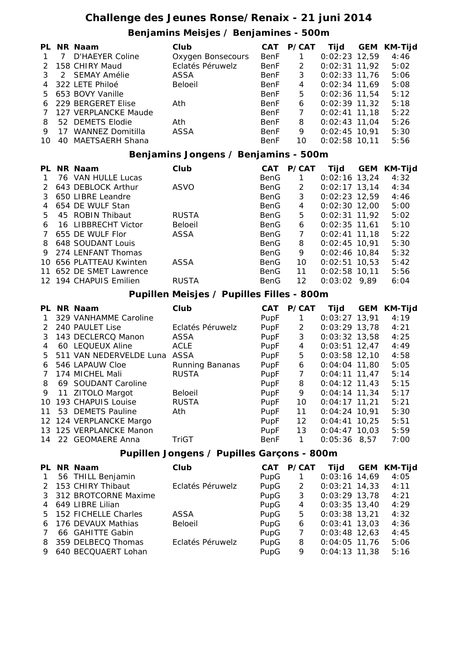### **Challenge des Jeunes Ronse/Renaix - 21 juni 2014**

#### **Benjamins Meisjes / Benjamines - 500m**

|               |                | PL NR Naam              | Club              | CAT         | P/CAT | Tijd            | <b>GEM KM-Tijd</b> |
|---------------|----------------|-------------------------|-------------------|-------------|-------|-----------------|--------------------|
|               | $\overline{7}$ | D'HAEYER Coline         | Oxygen Bonsecours | <b>BenF</b> |       | $0:02:23$ 12,59 | 4:46               |
| $\mathcal{P}$ |                | 158 CHIRY Maud          | Eclatés Péruwelz  | BenF        | 2     | $0:02:31$ 11,92 | 5:02               |
|               |                | 2 SEMAY Amélie          | ASSA              | BenF        | 3     | $0:02:33$ 11,76 | 5:06               |
|               |                | 4 322 LETE Philoé       | Beloeil           | <b>BenF</b> | 4     | $0:02:34$ 11,69 | 5:08               |
|               |                | 5 653 BOVY Vanille      |                   | BenF        | 5.    | $0:02:36$ 11,54 | 5:12               |
| 6             |                | 229 BERGERET Elise      | Ath               | <b>BenF</b> | 6     | $0:02:39$ 11,32 | 5:18               |
|               |                | 127 VERPLANCKE Maude    |                   | BenF        |       | $0:02:41$ 11,18 | 5:22               |
| 8             |                | 52 DEMETS Elodie        | Ath               | <b>BenF</b> | 8     | $0:02:43$ 11,04 | 5:26               |
| 9             | 17             | <b>WANNEZ Domitilla</b> | ASSA              | BenF        | 9     | $0:02:45$ 10.91 | 5:30               |
| 10            |                | 40 MAETSAERH Shana      |                   | <b>BenF</b> | 10    | $0:02:58$ 10,11 | 5:56               |

#### **Benjamins Jongens / Benjamins - 500m**

|     | Club                                                                                                                                                                                                                                                                                   | CAT  | P/CAT | Tijd | <b>GEM</b> | KM-Tijd                                                                                                                                                                                                                         |
|-----|----------------------------------------------------------------------------------------------------------------------------------------------------------------------------------------------------------------------------------------------------------------------------------------|------|-------|------|------------|---------------------------------------------------------------------------------------------------------------------------------------------------------------------------------------------------------------------------------|
|     |                                                                                                                                                                                                                                                                                        | BenG |       |      |            | 4:32                                                                                                                                                                                                                            |
|     | <b>ASVO</b>                                                                                                                                                                                                                                                                            | BenG | 2     |      |            | 4:34                                                                                                                                                                                                                            |
|     |                                                                                                                                                                                                                                                                                        | BenG | 3     |      |            | 4:46                                                                                                                                                                                                                            |
|     |                                                                                                                                                                                                                                                                                        | BenG | 4     |      |            | 5:00                                                                                                                                                                                                                            |
|     | <b>RUSTA</b>                                                                                                                                                                                                                                                                           | BenG | 5     |      |            | 5:02                                                                                                                                                                                                                            |
|     | Beloeil                                                                                                                                                                                                                                                                                | BenG | 6     |      |            | 5:10                                                                                                                                                                                                                            |
|     | ASSA                                                                                                                                                                                                                                                                                   | BenG | 7     |      |            | 5:22                                                                                                                                                                                                                            |
|     |                                                                                                                                                                                                                                                                                        | BenG | 8     |      |            | 5:30                                                                                                                                                                                                                            |
|     |                                                                                                                                                                                                                                                                                        | BenG | 9     |      |            | 5:32                                                                                                                                                                                                                            |
|     | <b>ASSA</b>                                                                                                                                                                                                                                                                            | BenG | 10    |      |            | 5:42                                                                                                                                                                                                                            |
|     |                                                                                                                                                                                                                                                                                        | BenG | 11    |      |            | 5:56                                                                                                                                                                                                                            |
|     | <b>RUSTA</b>                                                                                                                                                                                                                                                                           | BenG | 12    |      |            | 6:04                                                                                                                                                                                                                            |
| PL. | NR Naam<br>76 VAN HULLE Lucas<br>643 DEBLOCK Arthur<br>650 LIBRE Leandre<br>654 DE WULF Stan<br>45 ROBIN Thibaut<br>16 LIBBRECHT Victor<br>655 DE WULF Flor<br>648 SOUDANT Louis<br>274 LENFANT Thomas<br>10 656 PLATTEAU Kwinten<br>11 652 DE SMET Lawrence<br>12 194 CHAPUIS Emilien |      |       |      |            | $0:02:16$ 13,24<br>$0:02:17$ 13,14<br>$0:02:23$ 12,59<br>$0:02:30$ 12,00<br>$0:02:31$ 11,92<br>$0:02:35$ 11,61<br>$0:02:41$ 11.18<br>$0:02:45$ 10.91<br>$0:02:46$ 10.84<br>$0:02:51$ 10.53<br>$0:02:58$ 10.11<br>$0:03:02$ 9.89 |

#### **Pupillen Meisjes / Pupilles Filles - 800m**

|               | PL NR Naam              | Club             | CAT  | <b>P/CAT</b> | Tijd            | <b>GEM</b> | <b>KM-Tijd</b> |
|---------------|-------------------------|------------------|------|--------------|-----------------|------------|----------------|
|               | 329 VANHAMME Caroline   |                  | PupF |              | $0:03:27$ 13,91 |            | 4:19           |
| $\mathcal{P}$ | 240 PAULET Lise         | Eclatés Péruwelz | PupF | 2            | $0:03:29$ 13,78 |            | 4:21           |
| 3             | 143 DECLERCQ Manon      | ASSA             | PupF | 3            | $0:03:32$ 13,58 |            | 4:25           |
| 4             | 60 LEQUEUX Aline        | <b>ACLE</b>      | PupF | 4            | $0:03:51$ 12,47 |            | 4:49           |
| 5             | 511 VAN NEDERVELDE Luna | ASSA             | PupF | 5            | $0:03:58$ 12,10 |            | 4:58           |
| 6             | 546 LAPAUW Cloe         | Running Bananas  | PupF | 6            | $0:04:04$ 11.80 |            | 5:05           |
|               | 174 MICHEL Mali         | <b>RUSTA</b>     | PupF | 7            | $0:04:11$ 11.47 |            | 5:14           |
| 8             | 69 SOUDANT Caroline     |                  | PupF | 8            | $0:04:12$ 11,43 |            | 5:15           |
| 9             | 11 ZITOLO Margot        | Beloeil          | PupF | 9            | $0:04:14$ 11.34 |            | 5:17           |
| 10            | 193 CHAPUIS Louise      | <b>RUSTA</b>     | PupF | 10           | $0:04:17$ 11.21 |            | 5:21           |
| 11            | 53 DEMETS Pauline       | Ath              | PupF | 11           | $0:04:24$ 10.91 |            | 5:30           |
|               | 12 124 VERPLANCKE Margo |                  | PupF | 12           | $0:04:41$ 10,25 |            | 5:51           |
|               | 13 125 VERPLANCKE Manon |                  | PupF | 13           | $0:04:47$ 10,03 |            | 5:59           |
| 14            | 22 GEOMAERE Anna        | TriGT            | BenF | 1.           | 0:05:36         | 8.57       | 7:00           |
|               |                         |                  |      |              |                 |            |                |

#### **Pupillen Jongens / Pupilles Garçons - 800m**

|                | PL NR Naam             | Club             | CAT  | P/CAT | Tijd            | <b>GEM KM-Tijd</b> |
|----------------|------------------------|------------------|------|-------|-----------------|--------------------|
| $\overline{1}$ | 56 THILL Benjamin      |                  | PupG |       | $0:03:16$ 14,69 | 4:05               |
|                | 2 153 CHIRY Thibaut    | Eclatés Péruwelz | PupG | 2     | $0:03:21$ 14,33 | 4:11               |
|                | 3 312 BROTCORNE Maxime |                  | PupG | 3     | $0:03:29$ 13,78 | 4:21               |
|                | 4 649 LIBRE Lilian     |                  | PupG | 4     | $0:03:35$ 13,40 | 4:29               |
|                | 5 152 FICHELLE Charles | ASSA             | PupG | 5     | $0:03:38$ 13,21 | 4:32               |
|                | 6 176 DEVAUX Mathias   | Beloeil          | PupG | 6     | $0:03:41$ 13,03 | 4:36               |
| $\overline{7}$ | 66 GAHITTE Gabin       |                  | PupG | 7     | $0:03:48$ 12,63 | 4:45               |
|                | 8 359 DELBECQ Thomas   | Eclatés Péruwelz | PupG | 8     | $0:04:05$ 11,76 | 5:06               |
|                | 9 640 BECQUAERT Lohan  |                  | PupG | 9     | $0:04:13$ 11,38 | 5:16               |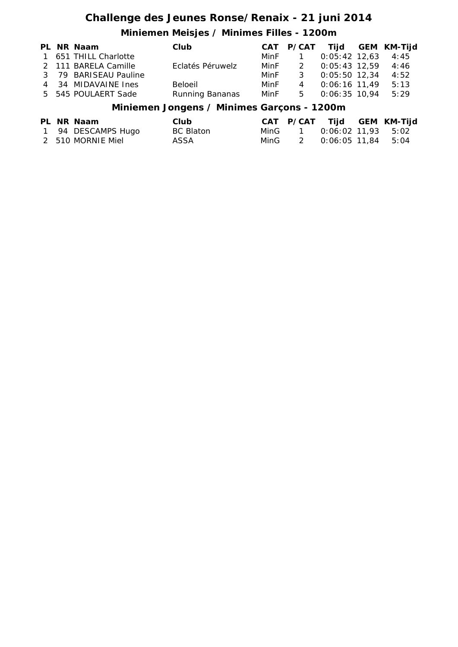## **Challenge des Jeunes Ronse/Renaix - 21 juni 2014**

## **Miniemen Meisjes / Minimes Filles - 1200m**

|  | PL NR Naam            | Club             |        |     |                 | CAT P/CAT Tijd GEM KM-Tijd |
|--|-----------------------|------------------|--------|-----|-----------------|----------------------------|
|  | 1 651 THILL Charlotte |                  | MinF 1 |     | $0:05:42$ 12,63 | 4:45                       |
|  | 2 111 BARELA Camille  | Eclatés Péruwelz | MinF   |     | 2 0:05:43 12.59 | 4:46                       |
|  | 3 79 BARISEAU Pauline |                  | MinF   | - 3 | 0:05:50 12,34   | 4:52                       |
|  | 4 34 MIDAVAINE Ines   | Beloeil          | MinF   |     | 4 0:06:16 11.49 | 5:13                       |
|  | 5 545 POULAERT Sade   | Running Bananas  | MinF   | 5   | $0:06:35$ 10,94 | 5:29                       |
|  |                       |                  |        |     |                 |                            |

#### **Miniemen Jongens / Minimes Garçons - 1200m**

|  | PL NR Naam         | Club      |  | CAT P/CAT Tijd GEM KM-Tijd |  |
|--|--------------------|-----------|--|----------------------------|--|
|  | 1 94 DESCAMPS Hugo | BC Blaton |  | MinG 1 0:06:02 11.93 5:02  |  |
|  | 2 510 MORNIE Miel  | ASSA      |  | MinG 2 0:06:05 11,84 5:04  |  |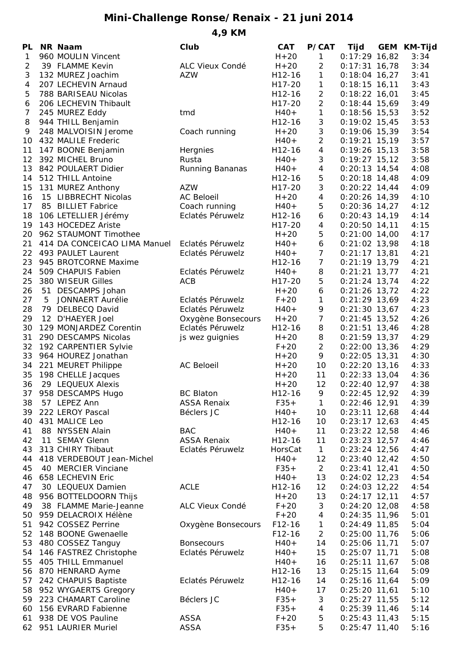# **Mini-Challenge Ronse/Renaix - 21 juni 2014**

**4,9 KM**

| PL           |   | <b>NR Naam</b>                         | Club               | <b>CAT</b> | <b>P/CAT</b>   | Tijd            | GEM KM-Tijd |
|--------------|---|----------------------------------------|--------------------|------------|----------------|-----------------|-------------|
| $\mathbf{1}$ |   | 960 MOULIN Vincent                     |                    | $H + 20$   | 1              | $0:17:29$ 16,82 | 3:34        |
| 2            |   | 39 FLAMME Kevin                        | ALC Vieux Condé    | $H + 20$   | $\overline{2}$ | $0:17:31$ 16,78 | 3:34        |
| 3            |   | 132 MUREZ Joachim                      | <b>AZW</b>         | H12-16     | 1              | $0:18:04$ 16,27 | 3:41        |
| 4            |   | 207 LECHEVIN Arnaud                    |                    | H17-20     | 1              | $0:18:15$ 16,11 | 3:43        |
| 5            |   | 788 BARISEAU Nicolas                   |                    | H12-16     | 2              | $0:18:22$ 16,01 | 3:45        |
| 6            |   | 206 LECHEVIN Thibault                  |                    | H17-20     | $\overline{2}$ | $0:18:44$ 15,69 | 3:49        |
| 7            |   | 245 MUREZ Eddy                         | tmd                | $H40+$     | 1              | $0:18:56$ 15,53 | 3:52        |
| 8            |   | 944 THILL Benjamin                     |                    | H12-16     | 3              | $0:19:02$ 15,45 | 3:53        |
| 9            |   | 248 MALVOISIN Jerome                   | Coach running      | $H + 20$   | 3              | $0:19:06$ 15,39 | 3:54        |
| 10           |   | 432 MALILE Frederic                    |                    | $H40+$     | 2              | $0:19:21$ 15,19 | 3:57        |
| 11           |   | 147 BOONE Benjamin                     | Hergnies           | H12-16     | 4              | $0:19:26$ 15,13 | 3:58        |
| 12           |   | 392 MICHEL Bruno                       | Rusta              | $H40+$     | 3              | $0:19:27$ 15,12 | 3:58        |
| 13           |   | 842 POULAERT Didier                    | Running Bananas    | $H40+$     | 4              | $0:20:13$ 14,54 | 4:08        |
| 14           |   | 512 THILL Antoine                      |                    | H12-16     | 5              | $0:20:18$ 14,48 | 4:09        |
| 15           |   | 131 MUREZ Anthony                      | <b>AZW</b>         | H17-20     | 3              | $0:20:22$ 14,44 | 4:09        |
| 16           |   | 15 LIBBRECHT Nicolas                   | <b>AC Beloeil</b>  | $H + 20$   | 4              | $0:20:26$ 14,39 | 4:10        |
| 17           |   | 85 BILLIET Fabrice                     | Coach running      | $H40+$     | 5              | $0:20:36$ 14,27 | 4:12        |
| 18           |   | 106 LETELLIER Jérémy                   | Eclatés Péruwelz   | H12-16     | 6              | $0:20:43$ 14,19 | 4:14        |
| 19           |   | 143 HOCEDEZ Ariste                     |                    | H17-20     | 4              | $0:20:50$ 14,11 | 4:15        |
| 20           |   | 962 STAUMONT Timothee                  |                    | $H + 20$   | 5              | $0:21:00$ 14,00 | 4:17        |
| 21           |   | 414 DA CONCEICAO LIMA Manuel           | Eclatés Péruwelz   | $H40+$     | 6              | $0:21:02$ 13,98 | 4:18        |
| 22           |   | 493 PAULET Laurent                     | Eclatés Péruwelz   | $H40+$     | $\overline{7}$ | $0:21:17$ 13,81 | 4:21        |
| 23           |   | 945 BROTCORNE Maxime                   |                    | H12-16     | $\overline{7}$ | $0:21:19$ 13,79 | 4:21        |
| 24           |   | 509 CHAPUIS Fabien                     | Eclatés Péruwelz   | $H40+$     | 8              | $0:21:21$ 13,77 | 4:21        |
| 25           |   | 380 WISEUR Gilles                      | ACB                | H17-20     | 5              | $0:21:24$ 13,74 | 4:22        |
| 26           |   | 51 DESCAMPS Johan                      |                    | $H + 20$   | 6              | $0:21:26$ 13,72 | 4:22        |
| 27           | 5 | <b>JONNAERT Aurélie</b>                | Eclatés Péruwelz   | $F+20$     | 1              | $0:21:29$ 13,69 | 4:23        |
| 28           |   | 79 DELBECQ David                       | Eclatés Péruwelz   | $H40+$     | 9              | $0:21:30$ 13,67 | 4:23        |
| 29           |   | 12 D'HAEYER Joel                       | Oxygène Bonsecours | $H + 20$   | $\overline{7}$ | $0:21:45$ 13,52 | 4:26        |
| 30           |   | 129 MONJARDEZ Corentin                 | Eclatés Péruwelz   | H12-16     | 8              | $0:21:51$ 13,46 | 4:28        |
| 31           |   | 290 DESCAMPS Nicolas                   | js wez guignies    | $H + 20$   | 8              | $0:21:59$ 13,37 | 4:29        |
| 32           |   | 192 CARPENTIER Sylvie                  |                    | $F+20$     | $\overline{2}$ | $0:22:00$ 13,36 | 4:29        |
| 33           |   | 964 HOUREZ Jonathan                    |                    | $H + 20$   | 9              | $0:22:05$ 13,31 | 4:30        |
| 34           |   | 221 MEURET Philippe                    | <b>AC Beloeil</b>  | $H + 20$   | 10             | $0:22:20$ 13,16 | 4:33        |
| 35           |   | 198 CHELLE Jacques                     |                    | $H + 20$   | 11             | $0:22:33$ 13,04 | 4:36        |
| 36           |   | 29 LEQUEUX Alexis                      |                    | $H+20$     | 12             | $0:22:40$ 12,97 | 4:38        |
| 37           |   | 958 DESCAMPS Hugo                      | <b>BC Blaton</b>   | H12-16     | 9              | $0:22:45$ 12,92 | 4:39        |
| 38           |   | 57 LEPEZ Ann                           | <b>ASSA Renaix</b> | $F35+$     | $\mathbf{1}$   | $0:22:46$ 12,91 | 4:39        |
| 39           |   | 222 LEROY Pascal                       | Béclers JC         | $H40+$     | 10             | $0:23:11$ 12,68 | 4:44        |
| 40           |   | 431 MALICE Leo                         |                    | H12-16     | 10             | $0:23:17$ 12,63 | 4:45        |
| 41           |   | 88 NYSSEN Alain                        | <b>BAC</b>         | $H40+$     | 11             | $0:23:22$ 12,58 | 4:46        |
| 42           |   | 11 SEMAY Glenn                         | <b>ASSA Renaix</b> | H12-16     | 11             | $0:23:23$ 12,57 | 4:46        |
| 43           |   | 313 CHIRY Thibaut                      | Eclatés Péruwelz   | HorsCat    | $\mathbf{1}$   | $0:23:24$ 12,56 | 4:47        |
| 44           |   | 418 VERDEBOUT Jean-Michel              |                    | $H40+$     | 12             | $0:23:40$ 12,42 | 4:50        |
| 45           |   | 40 MERCIER Vinciane                    |                    |            |                |                 |             |
|              |   |                                        |                    | $F35+$     | 2<br>13        | $0:23:41$ 12,41 | 4:50        |
| 46           |   | 658 LECHEVIN Eric<br>30 LEQUEUX Damien | <b>ACLE</b>        | $H40+$     |                | $0:24:02$ 12,23 | 4:54        |
| 47           |   |                                        |                    | H12-16     | 12             | $0:24:03$ 12,22 | 4:54        |
| 48           |   | 956 BOTTELDOORN Thijs                  |                    | $H + 20$   | 13             | $0:24:17$ 12,11 | 4:57        |
| 49           |   | 38 FLAMME Marie-Jeanne                 | ALC Vieux Condé    | $F+20$     | 3              | $0:24:20$ 12,08 | 4:58        |
| 50           |   | 959 DELACROIX Hélène                   |                    | $F+20$     | 4              | $0:24:35$ 11,96 | 5:01        |
| 51           |   | 942 COSSEZ Perrine                     | Oxygène Bonsecours | $F12-16$   | 1              | $0:24:49$ 11,85 | 5:04        |
| 52           |   | 148 BOONE Gwenaelle                    |                    | $F12-16$   | $\overline{a}$ | $0:25:00$ 11,76 | 5:06        |
| 53           |   | 480 COSSEZ Tanguy                      | <b>Bonsecours</b>  | $H40+$     | 14             | $0:25:06$ 11,71 | 5:07        |
| 54           |   | 146 FASTREZ Christophe                 | Eclatés Péruwelz   | $H40+$     | 15             | $0:25:07$ 11,71 | 5:08        |
| 55           |   | 405 THILL Emmanuel                     |                    | $H40+$     | 16             | $0:25:11$ 11,67 | 5:08        |
| 56           |   | 870 HENRARD Ayme                       |                    | H12-16     | 13             | $0:25:15$ 11,64 | 5:09        |
| 57           |   | 242 CHAPUIS Baptiste                   | Eclatés Péruwelz   | H12-16     | 14             | $0:25:16$ 11,64 | 5:09        |
| 58           |   | 952 WYGAERTS Gregory                   |                    | $H40+$     | 17             | $0:25:20$ 11,61 | 5:10        |
| 59           |   | 223 CHAMART Caroline                   | Béclers JC         | $F35+$     | 3              | $0:25:27$ 11,55 | 5:12        |
| 60           |   | 156 EVRARD Fabienne                    |                    | $F35+$     | 4              | $0:25:39$ 11,46 | 5:14        |
| 61           |   | 938 DE VOS Pauline                     | <b>ASSA</b>        | $F+20$     | 5              | $0:25:43$ 11,43 | 5:15        |
| 62           |   | 951 LAURIER Muriel                     | <b>ASSA</b>        | $F35+$     | 5              | $0:25:47$ 11,40 | 5:16        |